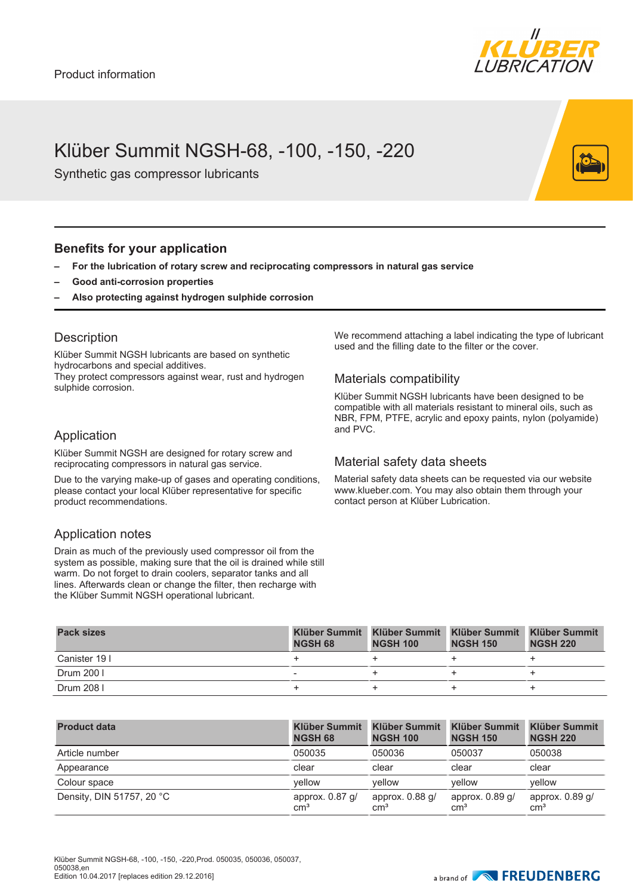

## Klüber Summit NGSH-68, -100, -150, -220

Synthetic gas compressor lubricants

### **Benefits for your application**

- **– For the lubrication of rotary screw and reciprocating compressors in natural gas service**
- **– Good anti-corrosion properties**
- **– Also protecting against hydrogen sulphide corrosion**

#### **Description**

Klüber Summit NGSH lubricants are based on synthetic hydrocarbons and special additives. They protect compressors against wear, rust and hydrogen sulphide corrosion.

Application

Klüber Summit NGSH are designed for rotary screw and reciprocating compressors in natural gas service.

Due to the varying make-up of gases and operating conditions, please contact your local Klüber representative for specific product recommendations.

### Application notes

Drain as much of the previously used compressor oil from the system as possible, making sure that the oil is drained while still warm. Do not forget to drain coolers, separator tanks and all lines. Afterwards clean or change the filter, then recharge with the Klüber Summit NGSH operational lubricant.

We recommend attaching a label indicating the type of lubricant used and the filling date to the filter or the cover.

#### Materials compatibility

Klüber Summit NGSH lubricants have been designed to be compatible with all materials resistant to mineral oils, such as NBR, FPM, PTFE, acrylic and epoxy paints, nylon (polyamide) and PVC.

#### Material safety data sheets

Material safety data sheets can be requested via our website www.klueber.com. You may also obtain them through your contact person at Klüber Lubrication.

| <b>Pack sizes</b> | Klüber Summit<br><b>NGSH 68</b> | <b>NGSH 100</b> | Klüber Summit Klüber Summit Klüber Summit<br><b>NGSH 150</b> | <b>NGSH 220</b> |
|-------------------|---------------------------------|-----------------|--------------------------------------------------------------|-----------------|
| Canister 19 I     |                                 |                 |                                                              |                 |
| Drum 200 I        | $\overline{\phantom{a}}$        |                 |                                                              |                 |
| Drum 208 I        |                                 |                 |                                                              |                 |

| <b>Product data</b>       | <b>Klüber Summit</b><br><b>NGSH 68</b> | <b>Klüber Summit</b><br><b>NGSH 100</b> | <b>Klüber Summit</b><br><b>NGSH 150</b> | <b>Klüber Summit</b><br><b>NGSH 220</b> |
|---------------------------|----------------------------------------|-----------------------------------------|-----------------------------------------|-----------------------------------------|
| Article number            | 050035                                 | 050036                                  | 050037                                  | 050038                                  |
| Appearance                | clear                                  | clear                                   | clear                                   | clear                                   |
| Colour space              | vellow                                 | vellow                                  | vellow                                  | vellow                                  |
| Density, DIN 51757, 20 °C | approx. $0.87$ g/<br>$\text{cm}^3$     | approx. $0.88$ g/<br>cm <sup>3</sup>    | approx. $0.89$ g/<br>cm <sup>3</sup>    | approx. $0.89$ g/<br>$\rm cm^{3}$       |